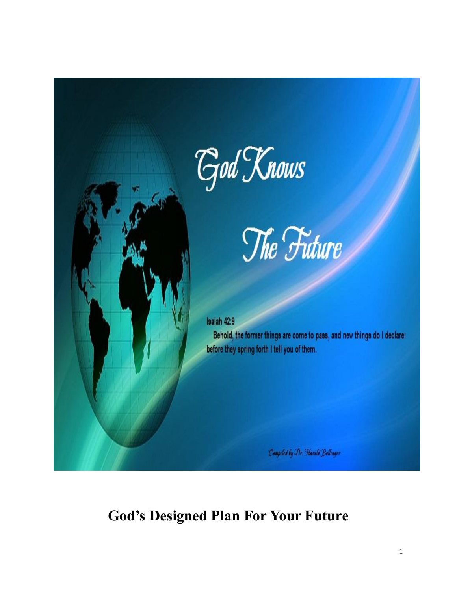



#### Isaiah 42:9

Behold, the former things are come to pass, and new things do I declare: before they spring forth I tell you of them.

Compiled by Dr. Harold Bollinger

# **God's Designed Plan For Your Future**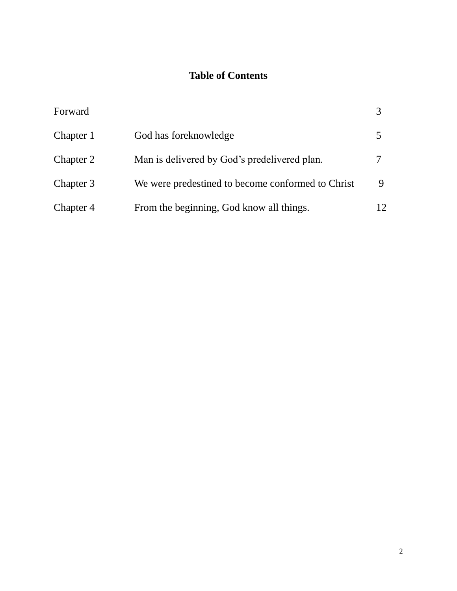# **Table of Contents**

| Forward   |                                                   |    |
|-----------|---------------------------------------------------|----|
| Chapter 1 | God has foreknowledge                             |    |
| Chapter 2 | Man is delivered by God's predelivered plan.      |    |
| Chapter 3 | We were predestined to become conformed to Christ | 9  |
| Chapter 4 | From the beginning, God know all things.          | 12 |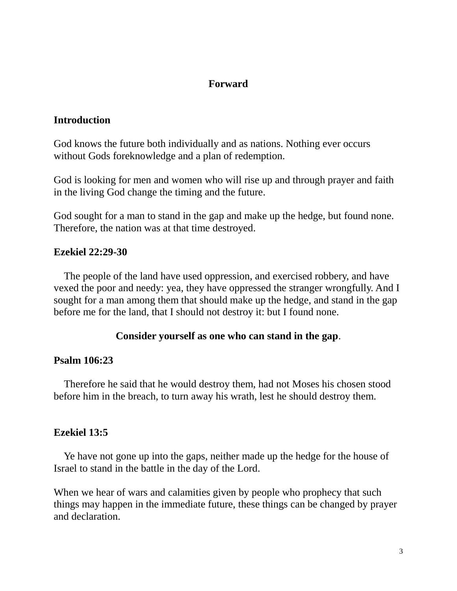#### **Forward**

#### **Introduction**

God knows the future both individually and as nations. Nothing ever occurs without Gods foreknowledge and a plan of redemption.

God is looking for men and women who will rise up and through prayer and faith in the living God change the timing and the future.

God sought for a man to stand in the gap and make up the hedge, but found none. Therefore, the nation was at that time destroyed.

#### **Ezekiel 22:29-30**

 The people of the land have used oppression, and exercised robbery, and have vexed the poor and needy: yea, they have oppressed the stranger wrongfully. And I sought for a man among them that should make up the hedge, and stand in the gap before me for the land, that I should not destroy it: but I found none.

#### **Consider yourself as one who can stand in the gap**.

#### **Psalm 106:23**

 Therefore he said that he would destroy them, had not Moses his chosen stood before him in the breach, to turn away his wrath, lest he should destroy them.

#### **Ezekiel 13:5**

 Ye have not gone up into the gaps, neither made up the hedge for the house of Israel to stand in the battle in the day of the Lord.

When we hear of wars and calamities given by people who prophecy that such things may happen in the immediate future, these things can be changed by prayer and declaration.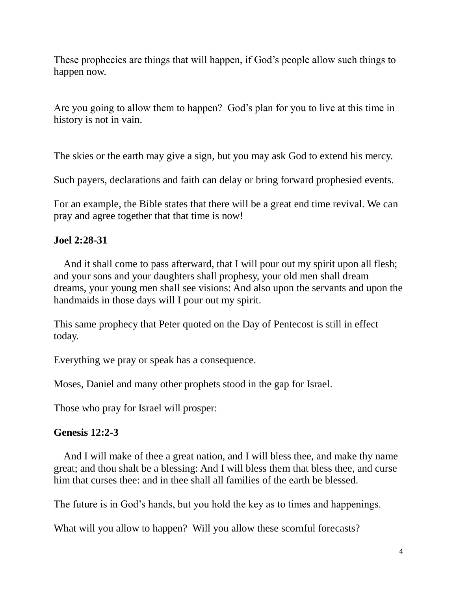These prophecies are things that will happen, if God's people allow such things to happen now.

Are you going to allow them to happen? God's plan for you to live at this time in history is not in vain.

The skies or the earth may give a sign, but you may ask God to extend his mercy.

Such payers, declarations and faith can delay or bring forward prophesied events.

For an example, the Bible states that there will be a great end time revival. We can pray and agree together that that time is now!

# **Joel 2:28-31**

 And it shall come to pass afterward, that I will pour out my spirit upon all flesh; and your sons and your daughters shall prophesy, your old men shall dream dreams, your young men shall see visions: And also upon the servants and upon the handmaids in those days will I pour out my spirit.

This same prophecy that Peter quoted on the Day of Pentecost is still in effect today.

Everything we pray or speak has a consequence.

Moses, Daniel and many other prophets stood in the gap for Israel.

Those who pray for Israel will prosper:

# **Genesis 12:2-3**

 And I will make of thee a great nation, and I will bless thee, and make thy name great; and thou shalt be a blessing: And I will bless them that bless thee, and curse him that curses thee: and in thee shall all families of the earth be blessed.

The future is in God's hands, but you hold the key as to times and happenings.

What will you allow to happen? Will you allow these scornful forecasts?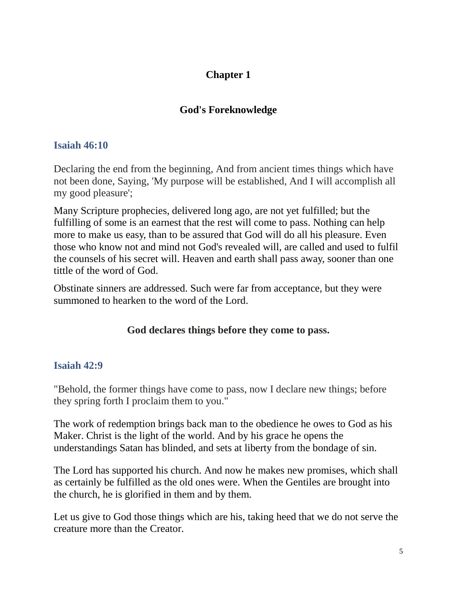# **God's Foreknowledge**

# **[Isaiah](http://bible.knowing-jesus.com/Isaiah/46/10) 46:10**

Declaring the end from the beginning, And from ancient times things which have not been done, Saying, 'My purpose will be established, And I will accomplish all my good pleasure';

Many Scripture prophecies, delivered long ago, are not yet fulfilled; but the fulfilling of some is an earnest that the rest will come to pass. Nothing can help more to make us easy, than to be assured that God will do all his pleasure. Even those who know not and mind not God's revealed will, are called and used to fulfil the counsels of his secret will. Heaven and earth shall pass away, sooner than one tittle of the word of God.

Obstinate sinners are addressed. Such were far from acceptance, but they were summoned to hearken to the word of the Lord.

# **God declares things before they come to pass.**

# **[Isaiah](http://bible.knowing-jesus.com/Isaiah/42/9) 42:9**

"Behold, the former things have come to pass, now I declare new things; before they spring forth I proclaim them to you."

The work of redemption brings back man to the obedience he owes to God as his Maker. Christ is the light of the world. And by his grace he opens the understandings Satan has blinded, and sets at liberty from the bondage of sin.

The Lord has supported his church. And now he makes new promises, which shall as certainly be fulfilled as the old ones were. When the Gentiles are brought into the church, he is glorified in them and by them.

Let us give to God those things which are his, taking heed that we do not serve the creature more than the Creator.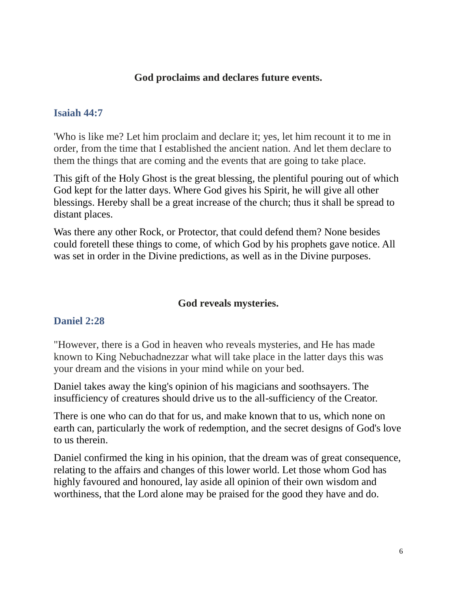### **God proclaims and declares future events.**

#### **[Isaiah](http://bible.knowing-jesus.com/Isaiah/44/7) 44:7**

'Who is like me? Let him proclaim and declare it; yes, let him recount it to me in order, from the time that I established the ancient nation. And let them declare to them the things that are coming and the events that are going to take place.

This gift of the Holy Ghost is the great blessing, the plentiful pouring out of which God kept for the latter days. Where God gives his Spirit, he will give all other blessings. Hereby shall be a great increase of the church; thus it shall be spread to distant places.

Was there any other Rock, or Protector, that could defend them? None besides could foretell these things to come, of which God by his prophets gave notice. All was set in order in the Divine predictions, as well as in the Divine purposes.

#### **God reveals mysteries.**

#### **[Daniel](http://bible.knowing-jesus.com/Daniel/2/28) 2:28**

"However, there is a God in heaven who reveals mysteries, and He has made known to King Nebuchadnezzar what will take place in the latter days this was your dream and the visions in your mind while on your bed.

Daniel takes away the king's opinion of his magicians and soothsayers. The insufficiency of creatures should drive us to the all-sufficiency of the Creator.

There is one who can do that for us, and make known that to us, which none on earth can, particularly the work of redemption, and the secret designs of God's love to us therein.

Daniel confirmed the king in his opinion, that the dream was of great consequence, relating to the affairs and changes of this lower world. Let those whom God has highly favoured and honoured, lay aside all opinion of their own wisdom and worthiness, that the Lord alone may be praised for the good they have and do.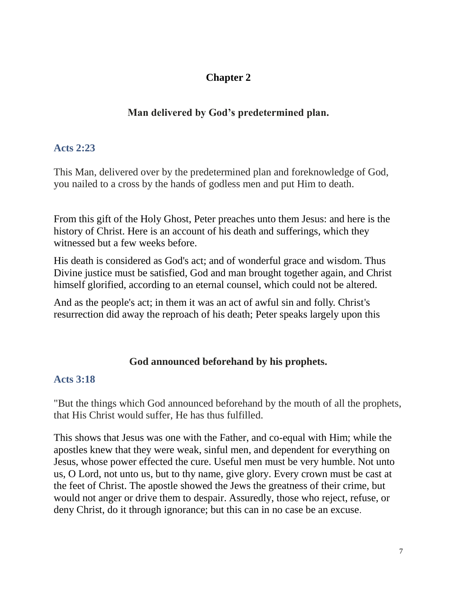# **Man delivered by God's predetermined plan.**

# **[Acts](http://bible.knowing-jesus.com/Acts/2/23) 2:23**

This Man, delivered over by the predetermined plan and foreknowledge of God, you nailed to a cross by the hands of godless men and put Him to death.

From this gift of the Holy Ghost, Peter preaches unto them Jesus: and here is the history of Christ. Here is an account of his death and sufferings, which they witnessed but a few weeks before.

His death is considered as God's act; and of wonderful grace and wisdom. Thus Divine justice must be satisfied, God and man brought together again, and Christ himself glorified, according to an eternal counsel, which could not be altered.

And as the people's act; in them it was an act of awful sin and folly. Christ's resurrection did away the reproach of his death; Peter speaks largely upon this

# **God announced beforehand by his prophets.**

# **[Acts](http://bible.knowing-jesus.com/Acts/3/18) 3:18**

"But the things which God announced beforehand by the mouth of all the prophets, that His Christ would suffer, He has thus fulfilled.

This shows that Jesus was one with the Father, and co-equal with Him; while the apostles knew that they were weak, sinful men, and dependent for everything on Jesus, whose power effected the cure. Useful men must be very humble. Not unto us, O Lord, not unto us, but to thy name, give glory. Every crown must be cast at the feet of Christ. The apostle showed the Jews the greatness of their crime, but would not anger or drive them to despair. Assuredly, those who reject, refuse, or deny Christ, do it through ignorance; but this can in no case be an excuse.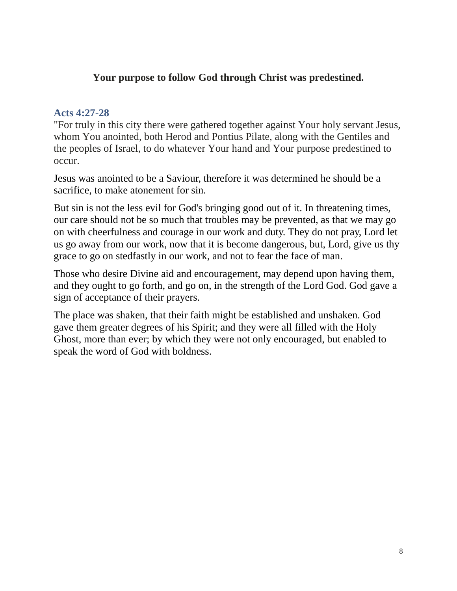### **Your purpose to follow God through Christ was predestined.**

#### **Acts [4:27-28](http://bible.knowing-jesus.com/Acts/4/27)**

"For truly in this city there were gathered together against Your holy servant Jesus, whom You anointed, both Herod and Pontius Pilate, along with the Gentiles and the peoples of Israel, to do whatever Your hand and Your purpose predestined to occur.

Jesus was anointed to be a Saviour, therefore it was determined he should be a sacrifice, to make atonement for sin.

But sin is not the less evil for God's bringing good out of it. In threatening times, our care should not be so much that troubles may be prevented, as that we may go on with cheerfulness and courage in our work and duty. They do not pray, Lord let us go away from our work, now that it is become dangerous, but, Lord, give us thy grace to go on stedfastly in our work, and not to fear the face of man.

Those who desire Divine aid and encouragement, may depend upon having them, and they ought to go forth, and go on, in the strength of the Lord God. God gave a sign of acceptance of their prayers.

The place was shaken, that their faith might be established and unshaken. God gave them greater degrees of his Spirit; and they were all filled with the Holy Ghost, more than ever; by which they were not only encouraged, but enabled to speak the word of God with boldness.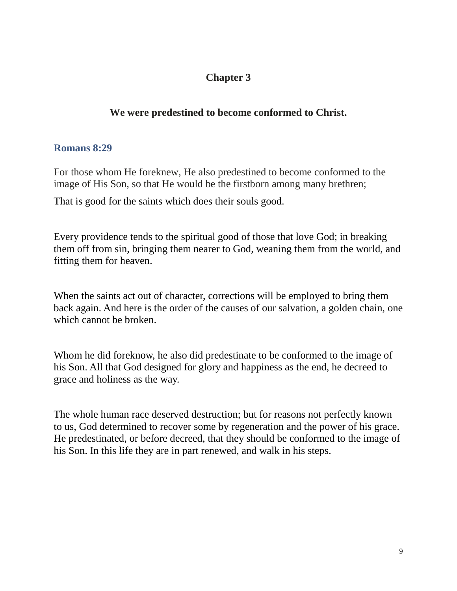# **We were predestined to become conformed to Christ.**

#### **[Romans](http://bible.knowing-jesus.com/Romans/8/29) 8:29**

For those whom He foreknew, He also predestined to become conformed to the image of His Son, so that He would be the firstborn among many brethren;

That is good for the saints which does their souls good.

Every providence tends to the spiritual good of those that love God; in breaking them off from sin, bringing them nearer to God, weaning them from the world, and fitting them for heaven.

When the saints act out of character, corrections will be employed to bring them back again. And here is the order of the causes of our salvation, a golden chain, one which cannot be broken.

Whom he did foreknow, he also did predestinate to be conformed to the image of his Son. All that God designed for glory and happiness as the end, he decreed to grace and holiness as the way.

The whole human race deserved destruction; but for reasons not perfectly known to us, God determined to recover some by regeneration and the power of his grace. He predestinated, or before decreed, that they should be conformed to the image of his Son. In this life they are in part renewed, and walk in his steps.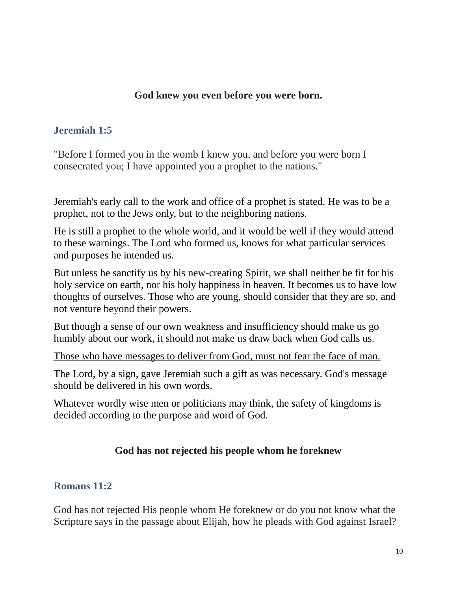### **God knew you even before you were born.**

# **[Jeremiah](http://bible.knowing-jesus.com/Jeremiah/1/5) 1:5**

"Before I formed you in the womb I knew you, and before you were born I consecrated you; I have appointed you a prophet to the nations."

Jeremiah's early call to the work and office of a prophet is stated. He was to be a prophet, not to the Jews only, but to the neighboring nations.

He is still a prophet to the whole world, and it would be well if they would attend to these warnings. The Lord who formed us, knows for what particular services and purposes he intended us.

But unless he sanctify us by his new-creating Spirit, we shall neither be fit for his holy service on earth, nor his holy happiness in heaven. It becomes us to have low thoughts of ourselves. Those who are young, should consider that they are so, and not venture beyond their powers.

But though a sense of our own weakness and insufficiency should make us go humbly about our work, it should not make us draw back when God calls us.

Those who have messages to deliver from God, must not fear the face of man.

The Lord, by a sign, gave Jeremiah such a gift as was necessary. God's message should be delivered in his own words.

Whatever wordly wise men or politicians may think, the safety of kingdoms is decided according to the purpose and word of God.

# **God has not rejected his people whom he foreknew**

# **[Romans](http://bible.knowing-jesus.com/Romans/11/2) 11:2**

God has not rejected His people whom He foreknew or do you not know what the Scripture says in the passage about Elijah, how he pleads with God against Israel?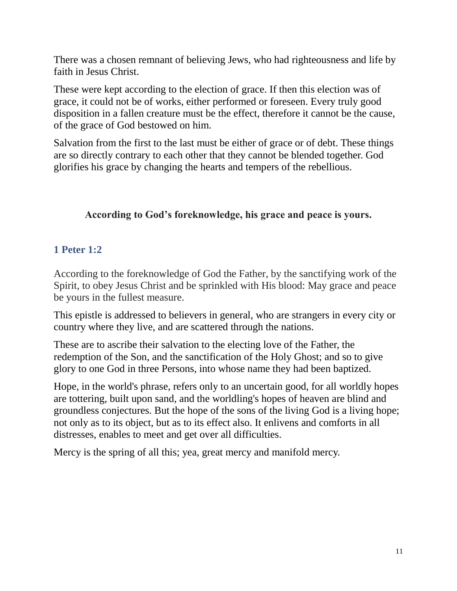There was a chosen remnant of believing Jews, who had righteousness and life by faith in Jesus Christ.

These were kept according to the election of grace. If then this election was of grace, it could not be of works, either performed or foreseen. Every truly good disposition in a fallen creature must be the effect, therefore it cannot be the cause, of the grace of God bestowed on him.

Salvation from the first to the last must be either of grace or of debt. These things are so directly contrary to each other that they cannot be blended together. God glorifies his grace by changing the hearts and tempers of the rebellious.

# **According to God's foreknowledge, his grace and peace is yours.**

# **1 [Peter](http://bible.knowing-jesus.com/1-Peter/1/2) 1:2**

According to the foreknowledge of God the Father, by the sanctifying work of the Spirit, to obey Jesus Christ and be sprinkled with His blood: May grace and peace be yours in the fullest measure.

This epistle is addressed to believers in general, who are strangers in every city or country where they live, and are scattered through the nations.

These are to ascribe their salvation to the electing love of the Father, the redemption of the Son, and the sanctification of the Holy Ghost; and so to give glory to one God in three Persons, into whose name they had been baptized.

Hope, in the world's phrase, refers only to an uncertain good, for all worldly hopes are tottering, built upon sand, and the worldling's hopes of heaven are blind and groundless conjectures. But the hope of the sons of the living God is a living hope; not only as to its object, but as to its effect also. It enlivens and comforts in all distresses, enables to meet and get over all difficulties.

Mercy is the spring of all this; yea, great mercy and manifold mercy.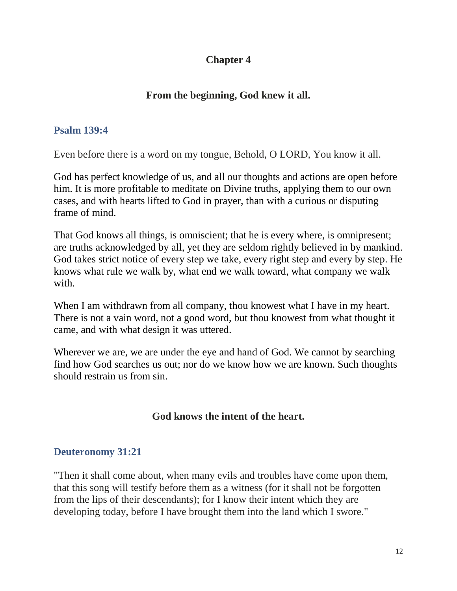# **From the beginning, God knew it all.**

### **[Psalm](http://bible.knowing-jesus.com/Psalm/139/4) 139:4**

Even before there is a word on my tongue, Behold, O LORD, You know it all.

God has perfect knowledge of us, and all our thoughts and actions are open before him. It is more profitable to meditate on Divine truths, applying them to our own cases, and with hearts lifted to God in prayer, than with a curious or disputing frame of mind.

That God knows all things, is omniscient; that he is every where, is omnipresent; are truths acknowledged by all, yet they are seldom rightly believed in by mankind. God takes strict notice of every step we take, every right step and every by step. He knows what rule we walk by, what end we walk toward, what company we walk with.

When I am withdrawn from all company, thou knowest what I have in my heart. There is not a vain word, not a good word, but thou knowest from what thought it came, and with what design it was uttered.

Wherever we are, we are under the eye and hand of God. We cannot by searching find how God searches us out; nor do we know how we are known. Such thoughts should restrain us from sin.

# **God knows the intent of the heart.**

#### **[Deuteronomy](http://bible.knowing-jesus.com/Deuteronomy/31/21) 31:21**

"Then it shall come about, when many evils and troubles have come upon them, that this song will testify before them as a witness (for it shall not be forgotten from the lips of their descendants); for I know their intent which they are developing today, before I have brought them into the land which I swore."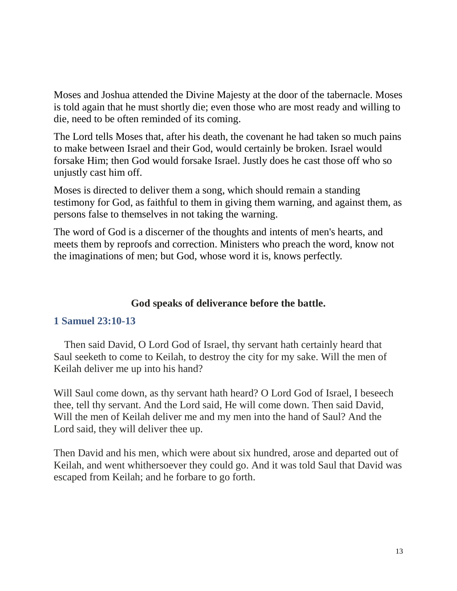Moses and Joshua attended the Divine Majesty at the door of the tabernacle. Moses is told again that he must shortly die; even those who are most ready and willing to die, need to be often reminded of its coming.

The Lord tells Moses that, after his death, the covenant he had taken so much pains to make between Israel and their God, would certainly be broken. Israel would forsake Him; then God would forsake Israel. Justly does he cast those off who so unjustly cast him off.

Moses is directed to deliver them a song, which should remain a standing testimony for God, as faithful to them in giving them warning, and against them, as persons false to themselves in not taking the warning.

The word of God is a discerner of the thoughts and intents of men's hearts, and meets them by reproofs and correction. Ministers who preach the word, know not the imaginations of men; but God, whose word it is, knows perfectly.

# **God speaks of deliverance before the battle.**

#### **1 Samuel [23:10-13](http://bible.knowing-jesus.com/1-Samuel/23/10)**

 Then said David, O Lord God of Israel, thy servant hath certainly heard that Saul seeketh to come to Keilah, to destroy the city for my sake. Will the men of Keilah deliver me up into his hand?

Will Saul come down, as thy servant hath heard? O Lord God of Israel, I beseech thee, tell thy servant. And the Lord said, He will come down. Then said David, Will the men of Keilah deliver me and my men into the hand of Saul? And the Lord said, they will deliver thee up.

Then David and his men, which were about six hundred, arose and departed out of Keilah, and went whithersoever they could go. And it was told Saul that David was escaped from Keilah; and he forbare to go forth.